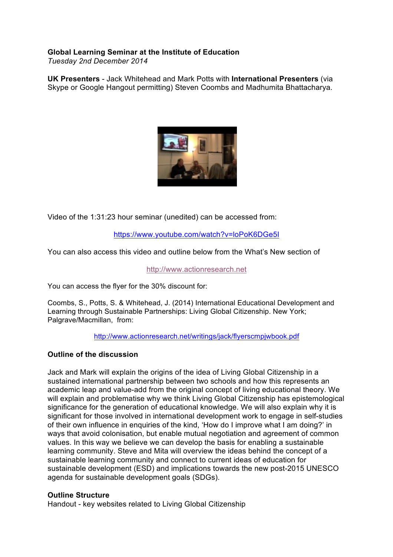# **Global Learning Seminar at the Institute of Education**

*Tuesday 2nd December 2014*

**UK Presenters** - Jack Whitehead and Mark Potts with **International Presenters** (via Skype or Google Hangout permitting) Steven Coombs and Madhumita Bhattacharya.



Video of the 1:31:23 hour seminar (unedited) can be accessed from:

https://www.youtube.com/watch?v=loPoK6DGe5I

You can also access this video and outline below from the What's New section of

#### http://www.actionresearch.net

You can access the flyer for the 30% discount for:

Coombs, S., Potts, S. & Whitehead, J. (2014) International Educational Development and Learning through Sustainable Partnerships: Living Global Citizenship. New York; Palgrave/Macmillan, from:

http://www.actionresearch.net/writings/jack/flyerscmpjwbook.pdf

## **Outline of the discussion**

Jack and Mark will explain the origins of the idea of Living Global Citizenship in a sustained international partnership between two schools and how this represents an academic leap and value-add from the original concept of living educational theory. We will explain and problematise why we think Living Global Citizenship has epistemological significance for the generation of educational knowledge. We will also explain why it is significant for those involved in international development work to engage in self-studies of their own influence in enquiries of the kind, 'How do I improve what I am doing?' in ways that avoid colonisation, but enable mutual negotiation and agreement of common values. In this way we believe we can develop the basis for enabling a sustainable learning community. Steve and Mita will overview the ideas behind the concept of a sustainable learning community and connect to current ideas of education for sustainable development (ESD) and implications towards the new post-2015 UNESCO agenda for sustainable development goals (SDGs).

## **Outline Structure**

Handout - key websites related to Living Global Citizenship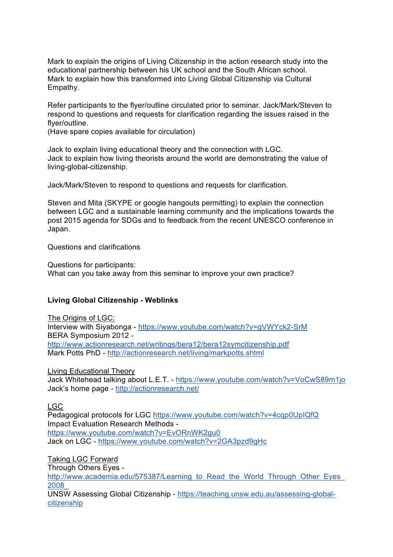Mark to explain the origins of Living Citizenship in the action research study into the educational partnership between his UK school and the South African school. Mark to explain how this transformed into Living Global Citizenship via Cultural Empathy.

Refer participants to the flyer/outline circulated prior to seminar. Jack/Mark/Steven to respond to questions and requests for clarification regarding the issues raised in the flyer/outline.

(Have spare copies available for circulation)

Jack to explain living educational theory and the connection with LGC. Jack to explain how living theorists around the world are demonstrating the value of living-global-citizenship.

Jack/Mark/Steven to respond to questions and requests for clarification.

Steven and Mita (SKYPE or google hangouts permitting) to explain the connection between LGC and a sustainable learning community and the implications towards the post 2015 agenda for SDGs and to feedback from the recent UNESCO conference in Japan.

Questions and clarifications

Questions for participants: What can you take away from this seminar to improve your own practice?

#### **Living Global Citizenship - Weblinks**

The Origins of LGC: Interview with Siyabonga - https://www.youtube.com/watch?v=gVWYck2-SrM BERA Symposium 2012 http://www.actionresearch.net/writings/bera12/bera12symcitizenship.pdf Mark Potts PhD - http://actionresearch.net/living/markpotts.shtml

Living Educational Theory Jack Whitehead talking about L.E.T. - https://www.youtube.com/watch?v=VoCwS89m1jo Jack's home page - http://actionresearch.net/

### LGC

Pedagogical protocols for LGC https://www.youtube.com/watch?v=4cqp0UpIQfQ Impact Evaluation Research Methods https://www.youtube.com/watch?v=EvORnWK2gu0 Jack on LGC - https://www.youtube.com/watch?v=2GA3pzd9gHc

Taking LGC Forward

Through Others Eyes -

http://www.academia.edu/575387/Learning to Read the World Through Other Eyes 2008\_

UNSW Assessing Global Citizenship - https://teaching.unsw.edu.au/assessing-globalcitizenship